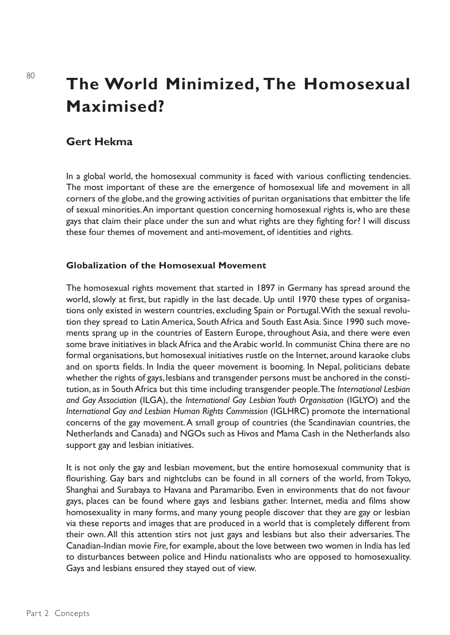# **The World Minimized, The Homosexual Maximised?**

## **Gert Hekma**

In a global world, the homosexual community is faced with various conflicting tendencies. The most important of these are the emergence of homosexual life and movement in all corners of the globe, and the growing activities of puritan organisations that embitter the life of sexual minorities. An important question concerning homosexual rights is, who are these gays that claim their place under the sun and what rights are they fighting for? I will discuss these four themes of movement and anti-movement, of identities and rights.

### **Globalization of the Homosexual Movement**

The homosexual rights movement that started in 1897 in Germany has spread around the world, slowly at first, but rapidly in the last decade. Up until 1970 these types of organisations only existed in western countries, excluding Spain or Portugal. With the sexual revolution they spread to Latin America, South Africa and South East Asia. Since 1990 such movements sprang up in the countries of Eastern Europe, throughout Asia, and there were even some brave initiatives in black Africa and the Arabic world. In communist China there are no formal organisations, but homosexual initiatives rustle on the Internet, around karaoke clubs and on sports fields. In India the queer movement is booming. In Nepal, politicians debate whether the rights of gays, lesbians and transgender persons must be anchored in the constitution, as in South Africa but this time including transgender people. The *International Lesbian and Gay Association* (ILGA), the *International Gay Lesbian Youth Organisation* (IGLYO) and the *International Gay and Lesbian Human Rights Commission* (IGLHRC) promote the international concerns of the gay movement. A small group of countries (the Scandinavian countries, the Netherlands and Canada) and NGOs such as Hivos and Mama Cash in the Netherlands also support gay and lesbian initiatives.

It is not only the gay and lesbian movement, but the entire homosexual community that is flourishing. Gay bars and nightclubs can be found in all corners of the world, from Tokyo, Shanghai and Surabaya to Havana and Paramaribo. Even in environments that do not favour gays, places can be found where gays and lesbians gather. Internet, media and films show homosexuality in many forms, and many young people discover that they are gay or lesbian via these reports and images that are produced in a world that is completely different from their own. All this attention stirs not just gays and lesbians but also their adversaries. The Canadian-Indian movie *Fire,* for example, about the love between two women in India has led to disturbances between police and Hindu nationalists who are opposed to homosexuality. Gays and lesbians ensured they stayed out of view.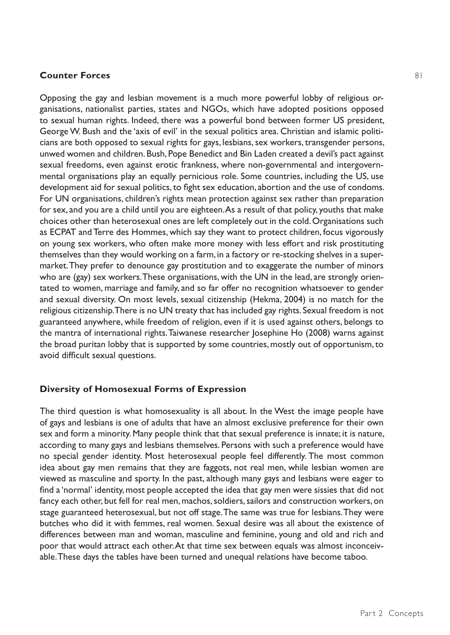#### **Counter Forces**

Opposing the gay and lesbian movement is a much more powerful lobby of religious organisations, nationalist parties, states and NGOs, which have adopted positions opposed to sexual human rights. Indeed, there was a powerful bond between former US president, George W. Bush and the 'axis of evil' in the sexual politics area. Christian and islamic politicians are both opposed to sexual rights for gays, lesbians, sex workers, transgender persons, unwed women and children. Bush, Pope Benedict and Bin Laden created a devil's pact against sexual freedoms, even against erotic frankness, where non-governmental and intergovernmental organisations play an equally pernicious role. Some countries, including the US, use development aid for sexual politics, to fight sex education, abortion and the use of condoms. For UN organisations, children's rights mean protection against sex rather than preparation for sex, and you are a child until you are eighteen. As a result of that policy, youths that make choices other than heterosexual ones are left completely out in the cold. Organisations such as ECPAT and Terre des Hommes, which say they want to protect children, focus vigorously on young sex workers, who often make more money with less effort and risk prostituting themselves than they would working on a farm, in a factory or re-stocking shelves in a supermarket. They prefer to denounce gay prostitution and to exaggerate the number of minors who are (gay) sex workers. These organisations, with the UN in the lead, are strongly orientated to women, marriage and family, and so far offer no recognition whatsoever to gender and sexual diversity. On most levels, sexual citizenship (Hekma, 2004) is no match for the religious citizenship. There is no UN treaty that has included gay rights. Sexual freedom is not guaranteed anywhere, while freedom of religion, even if it is used against others, belongs to the mantra of international rights. Taiwanese researcher Josephine Ho (2008) warns against the broad puritan lobby that is supported by some countries, mostly out of opportunism, to avoid difficult sexual questions.

#### **Diversity of Homosexual Forms of Expression**

The third question is what homosexuality is all about. In the West the image people have of gays and lesbians is one of adults that have an almost exclusive preference for their own sex and form a minority. Many people think that that sexual preference is innate; it is nature, according to many gays and lesbians themselves. Persons with such a preference would have no special gender identity. Most heterosexual people feel differently. The most common idea about gay men remains that they are faggots, not real men, while lesbian women are viewed as masculine and sporty. In the past, although many gays and lesbians were eager to find a 'normal' identity, most people accepted the idea that gay men were sissies that did not fancy each other, but fell for real men, machos, soldiers, sailors and construction workers, on stage guaranteed heterosexual, but not off stage. The same was true for lesbians. They were butches who did it with femmes, real women. Sexual desire was all about the existence of differences between man and woman, masculine and feminine, young and old and rich and poor that would attract each other. At that time sex between equals was almost inconceivable. These days the tables have been turned and unequal relations have become taboo.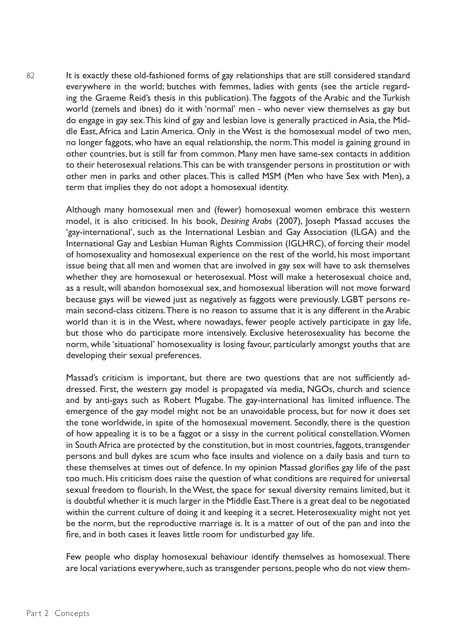82 It is exactly these old-fashioned forms of gay relationships that are still considered standard everywhere in the world; butches with femmes, ladies with gents (see the article regarding the Graeme Reid's thesis in this publication). The faggots of the Arabic and the Turkish world (zemels and ibnes) do it with 'normal' men - who never view themselves as gay but do engage in gay sex. This kind of gay and lesbian love is generally practiced in Asia, the Middle East, Africa and Latin America. Only in the West is the homosexual model of two men, no longer faggots, who have an equal relationship, the norm. This model is gaining ground in other countries, but is still far from common. Many men have same-sex contacts in addition to their heterosexual relations. This can be with transgender persons in prostitution or with other men in parks and other places. This is called MSM (Men who have Sex with Men), a term that implies they do not adopt a homosexual identity.

> Although many homosexual men and (fewer) homosexual women embrace this western model, it is also criticised. In his book, *Desiring Arabs* (2007), Joseph Massad accuses the 'gay-international', such as the International Lesbian and Gay Association (ILGA) and the International Gay and Lesbian Human Rights Commission (IGLHRC), of forcing their model of homosexuality and homosexual experience on the rest of the world, his most important issue being that all men and women that are involved in gay sex will have to ask themselves whether they are homosexual or heterosexual. Most will make a heterosexual choice and, as a result, will abandon homosexual sex, and homosexual liberation will not move forward because gays will be viewed just as negatively as faggots were previously. LGBT persons remain second-class citizens. There is no reason to assume that it is any different in the Arabic world than it is in the West, where nowadays, fewer people actively participate in gay life, but those who do participate more intensively. Exclusive heterosexuality has become the norm, while 'situational' homosexuality is losing favour, particularly amongst youths that are developing their sexual preferences.

> Massad's criticism is important, but there are two questions that are not sufficiently addressed. First, the western gay model is propagated via media, NGOs, church and science and by anti-gays such as Robert Mugabe. The gay-international has limited influence. The emergence of the gay model might not be an unavoidable process, but for now it does set the tone worldwide, in spite of the homosexual movement. Secondly, there is the question of how appealing it is to be a faggot or a sissy in the current political constellation. Women in South Africa are protected by the constitution, but in most countries, faggots, transgender persons and bull dykes are scum who face insults and violence on a daily basis and turn to these themselves at times out of defence. In my opinion Massad glorifies gay life of the past too much. His criticism does raise the question of what conditions are required for universal sexual freedom to flourish. In the West, the space for sexual diversity remains limited, but it is doubtful whether it is much larger in the Middle East. There is a great deal to be negotiated within the current culture of doing it and keeping it a secret. Heterosexuality might not yet be the norm, but the reproductive marriage is. It is a matter of out of the pan and into the fire, and in both cases it leaves little room for undisturbed gay life.

> Few people who display homosexual behaviour identify themselves as homosexual. There are local variations everywhere, such as transgender persons, people who do not view them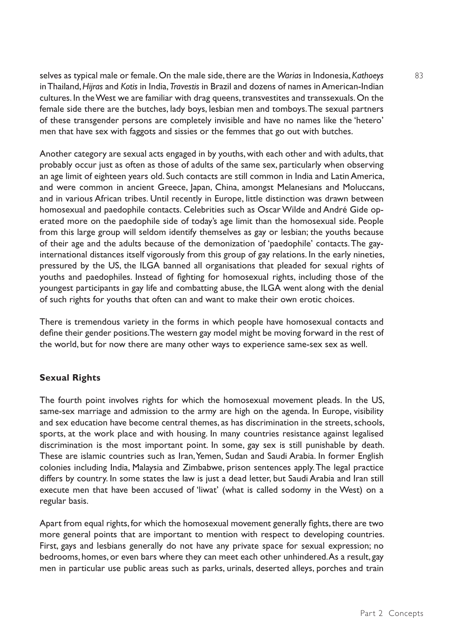selves as typical male or female. On the male side, there are the *Warias* in Indonesia, *Kathoeys*  in Thailand, *Hijras* and *Kotis* in India, *Travestis* in Brazil and dozens of names in American-Indian cultures. In the West we are familiar with drag queens, transvestites and transsexuals. On the female side there are the butches, lady boys, lesbian men and tomboys. The sexual partners of these transgender persons are completely invisible and have no names like the 'hetero' men that have sex with faggots and sissies or the femmes that go out with butches.

Another category are sexual acts engaged in by youths, with each other and with adults, that probably occur just as often as those of adults of the same sex, particularly when observing an age limit of eighteen years old. Such contacts are still common in India and Latin America, and were common in ancient Greece, Japan, China, amongst Melanesians and Moluccans, and in various African tribes. Until recently in Europe, little distinction was drawn between homosexual and paedophile contacts. Celebrities such as Oscar Wilde and André Gide operated more on the paedophile side of today's age limit than the homosexual side. People from this large group will seldom identify themselves as gay or lesbian; the youths because of their age and the adults because of the demonization of 'paedophile' contacts. The gayinternational distances itself vigorously from this group of gay relations. In the early nineties, pressured by the US, the ILGA banned all organisations that pleaded for sexual rights of youths and paedophiles. Instead of fighting for homosexual rights, including those of the youngest participants in gay life and combatting abuse, the ILGA went along with the denial of such rights for youths that often can and want to make their own erotic choices.

There is tremendous variety in the forms in which people have homosexual contacts and define their gender positions. The western gay model might be moving forward in the rest of the world, but for now there are many other ways to experience same-sex sex as well.

#### **Sexual Rights**

The fourth point involves rights for which the homosexual movement pleads. In the US, same-sex marriage and admission to the army are high on the agenda. In Europe, visibility and sex education have become central themes, as has discrimination in the streets, schools, sports, at the work place and with housing. In many countries resistance against legalised discrimination is the most important point. In some, gay sex is still punishable by death. These are islamic countries such as Iran, Yemen, Sudan and Saudi Arabia. In former English colonies including India, Malaysia and Zimbabwe, prison sentences apply. The legal practice differs by country. In some states the law is just a dead letter, but Saudi Arabia and Iran still execute men that have been accused of 'liwat' (what is called sodomy in the West) on a regular basis.

Apart from equal rights, for which the homosexual movement generally fights, there are two more general points that are important to mention with respect to developing countries. First, gays and lesbians generally do not have any private space for sexual expression; no bedrooms, homes, or even bars where they can meet each other unhindered. As a result, gay men in particular use public areas such as parks, urinals, deserted alleys, porches and train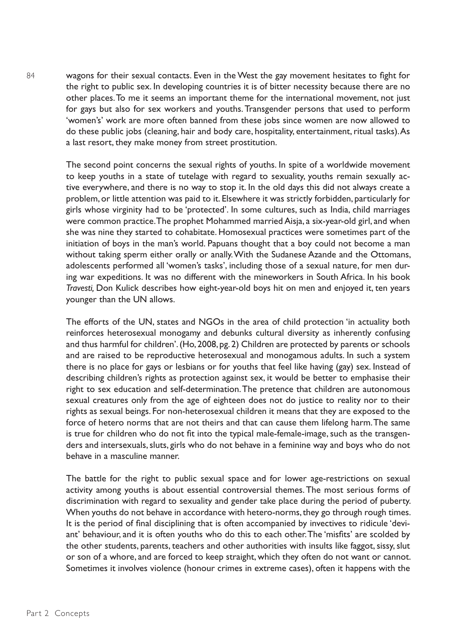wagons for their sexual contacts. Even in the West the gay movement hesitates to fight for the right to public sex. In developing countries it is of bitter necessity because there are no other places. To me it seems an important theme for the international movement, not just for gays but also for sex workers and youths. Transgender persons that used to perform 'women's' work are more often banned from these jobs since women are now allowed to do these public jobs (cleaning, hair and body care, hospitality, entertainment, ritual tasks). As a last resort, they make money from street prostitution.

The second point concerns the sexual rights of youths. In spite of a worldwide movement to keep youths in a state of tutelage with regard to sexuality, youths remain sexually active everywhere, and there is no way to stop it. In the old days this did not always create a problem, or little attention was paid to it. Elsewhere it was strictly forbidden, particularly for girls whose virginity had to be 'protected'. In some cultures, such as India, child marriages were common practice. The prophet Mohammed married Aisja, a six-year-old girl, and when she was nine they started to cohabitate. Homosexual practices were sometimes part of the initiation of boys in the man's world. Papuans thought that a boy could not become a man without taking sperm either orally or anally. With the Sudanese Azande and the Ottomans, adolescents performed all 'women's tasks', including those of a sexual nature, for men during war expeditions. It was no different with the mineworkers in South Africa. In his book *Travesti,* Don Kulick describes how eight-year-old boys hit on men and enjoyed it, ten years younger than the UN allows.

The efforts of the UN, states and NGOs in the area of child protection 'in actuality both reinforces heterosexual monogamy and debunks cultural diversity as inherently confusing and thus harmful for children'. (Ho, 2008, pg. 2) Children are protected by parents or schools and are raised to be reproductive heterosexual and monogamous adults. In such a system there is no place for gays or lesbians or for youths that feel like having (gay) sex. Instead of describing children's rights as protection against sex, it would be better to emphasise their right to sex education and self-determination. The pretence that children are autonomous sexual creatures only from the age of eighteen does not do justice to reality nor to their rights as sexual beings. For non-heterosexual children it means that they are exposed to the force of hetero norms that are not theirs and that can cause them lifelong harm. The same is true for children who do not fit into the typical male-female-image, such as the transgenders and intersexuals, sluts, girls who do not behave in a feminine way and boys who do not behave in a masculine manner.

The battle for the right to public sexual space and for lower age-restrictions on sexual activity among youths is about essential controversial themes. The most serious forms of discrimination with regard to sexuality and gender take place during the period of puberty. When youths do not behave in accordance with hetero-norms, they go through rough times. It is the period of final disciplining that is often accompanied by invectives to ridicule 'deviant' behaviour, and it is often youths who do this to each other. The 'misfits' are scolded by the other students, parents, teachers and other authorities with insults like faggot, sissy, slut or son of a whore, and are forced to keep straight, which they often do not want or cannot. Sometimes it involves violence (honour crimes in extreme cases), often it happens with the

84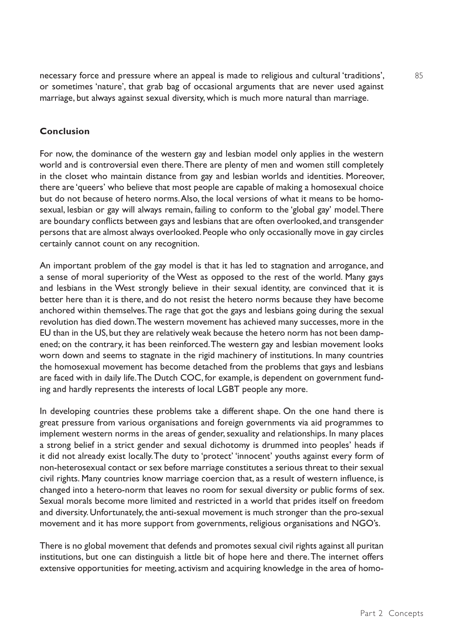necessary force and pressure where an appeal is made to religious and cultural 'traditions', or sometimes 'nature', that grab bag of occasional arguments that are never used against marriage, but always against sexual diversity, which is much more natural than marriage.

### **Conclusion**

For now, the dominance of the western gay and lesbian model only applies in the western world and is controversial even there. There are plenty of men and women still completely in the closet who maintain distance from gay and lesbian worlds and identities. Moreover, there are 'queers' who believe that most people are capable of making a homosexual choice but do not because of hetero norms. Also, the local versions of what it means to be homosexual, lesbian or gay will always remain, failing to conform to the 'global gay' model. There are boundary conflicts between gays and lesbians that are often overlooked, and transgender persons that are almost always overlooked. People who only occasionally move in gay circles certainly cannot count on any recognition.

An important problem of the gay model is that it has led to stagnation and arrogance, and a sense of moral superiority of the West as opposed to the rest of the world. Many gays and lesbians in the West strongly believe in their sexual identity, are convinced that it is better here than it is there, and do not resist the hetero norms because they have become anchored within themselves. The rage that got the gays and lesbians going during the sexual revolution has died down. The western movement has achieved many successes, more in the EU than in the US, but they are relatively weak because the hetero norm has not been dampened; on the contrary, it has been reinforced. The western gay and lesbian movement looks worn down and seems to stagnate in the rigid machinery of institutions. In many countries the homosexual movement has become detached from the problems that gays and lesbians are faced with in daily life. The Dutch COC, for example, is dependent on government funding and hardly represents the interests of local LGBT people any more.

In developing countries these problems take a different shape. On the one hand there is great pressure from various organisations and foreign governments via aid programmes to implement western norms in the areas of gender, sexuality and relationships. In many places a strong belief in a strict gender and sexual dichotomy is drummed into peoples' heads if it did not already exist locally. The duty to 'protect' 'innocent' youths against every form of non-heterosexual contact or sex before marriage constitutes a serious threat to their sexual civil rights. Many countries know marriage coercion that, as a result of western influence, is changed into a hetero-norm that leaves no room for sexual diversity or public forms of sex. Sexual morals become more limited and restricted in a world that prides itself on freedom and diversity. Unfortunately, the anti-sexual movement is much stronger than the pro-sexual movement and it has more support from governments, religious organisations and NGO's.

There is no global movement that defends and promotes sexual civil rights against all puritan institutions, but one can distinguish a little bit of hope here and there. The internet offers extensive opportunities for meeting, activism and acquiring knowledge in the area of homo